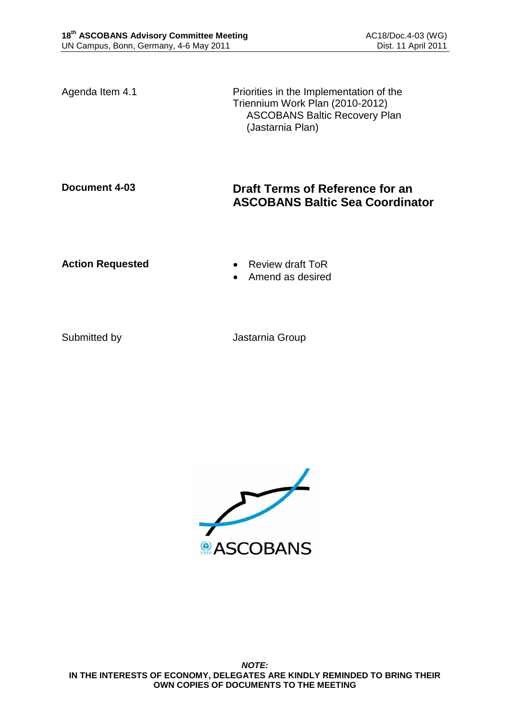Agenda Item 4.1 **Priorities** in the Implementation of the Triennium Work Plan (2010-2012) ASCOBANS Baltic Recovery Plan (Jastarnia Plan)

# **Document 4-03 Draft Terms of Reference for an ASCOBANS Baltic Sea Coordinator**

**Action Requested • Review draft ToR** 

- 
- Amend as desired

Submitted by **Jastarnia Group**